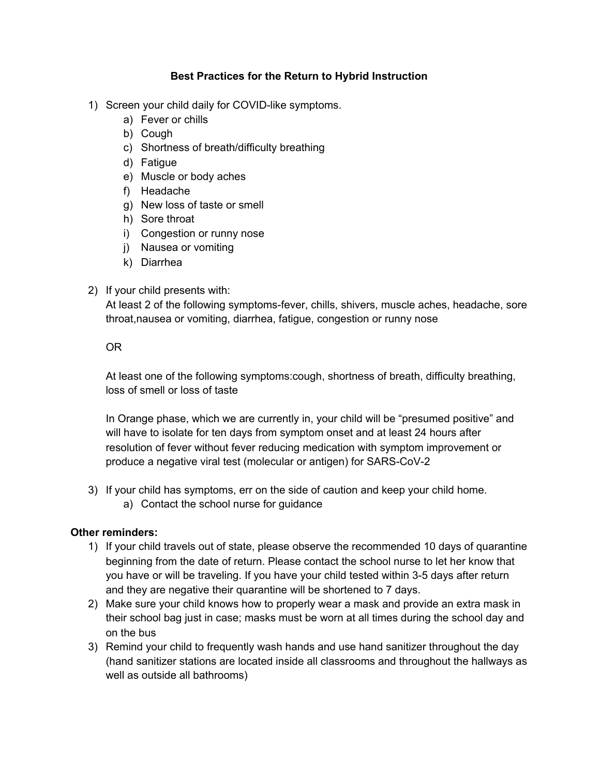## **Best Practices for the Return to Hybrid Instruction**

- 1) Screen your child daily for COVID-like symptoms.
	- a) Fever or chills
	- b) Cough
	- c) Shortness of breath/difficulty breathing
	- d) Fatigue
	- e) Muscle or body aches
	- f) Headache
	- g) New loss of taste or smell
	- h) Sore throat
	- i) Congestion or runny nose
	- j) Nausea or vomiting
	- k) Diarrhea
- 2) If your child presents with:

At least 2 of the following symptoms-fever, chills, shivers, muscle aches, headache, sore throat,nausea or vomiting, diarrhea, fatigue, congestion or runny nose

OR

At least one of the following symptoms:cough, shortness of breath, difficulty breathing, loss of smell or loss of taste

In Orange phase, which we are currently in, your child will be "presumed positive" and will have to isolate for ten days from symptom onset and at least 24 hours after resolution of fever without fever reducing medication with symptom improvement or produce a negative viral test (molecular or antigen) for SARS-CoV-2

- 3) If your child has symptoms, err on the side of caution and keep your child home.
	- a) Contact the school nurse for guidance

## **Other reminders:**

- 1) If your child travels out of state, please observe the recommended 10 days of quarantine beginning from the date of return. Please contact the school nurse to let her know that you have or will be traveling. If you have your child tested within 3-5 days after return and they are negative their quarantine will be shortened to 7 days.
- 2) Make sure your child knows how to properly wear a mask and provide an extra mask in their school bag just in case; masks must be worn at all times during the school day and on the bus
- 3) Remind your child to frequently wash hands and use hand sanitizer throughout the day (hand sanitizer stations are located inside all classrooms and throughout the hallways as well as outside all bathrooms)